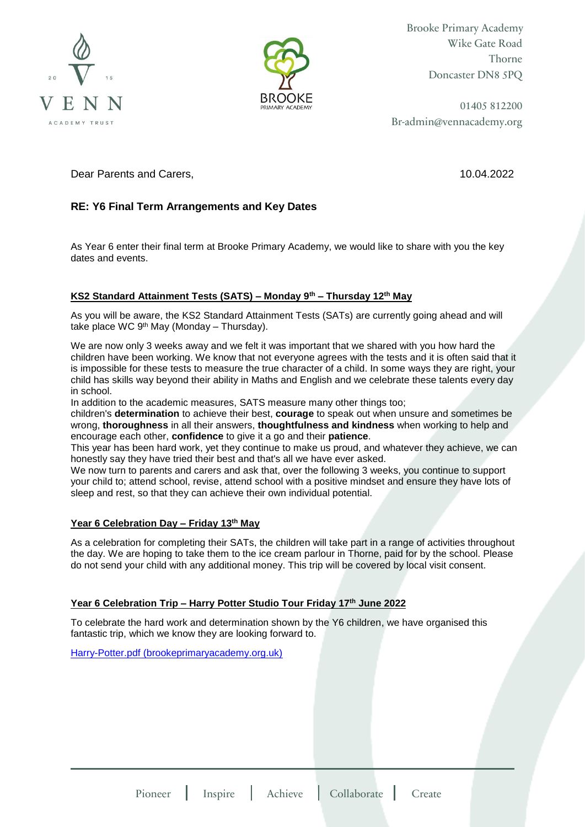



Brooke Primary Academy Wike Gate Road Thorne Doncaster DN8 5PQ

01405 812200 Br-admin@vennacademy.org

Dear Parents and Carers, 10.04.2022

# **RE: Y6 Final Term Arrangements and Key Dates**

As Year 6 enter their final term at Brooke Primary Academy, we would like to share with you the key dates and events.

# **KS2 Standard Attainment Tests (SATS) – Monday 9th – Thursday 12th May**

As you will be aware, the KS2 Standard Attainment Tests (SATs) are currently going ahead and will take place WC  $9<sup>th</sup>$  May (Monday – Thursday).

We are now only 3 weeks away and we felt it was important that we shared with you how hard the children have been working. We know that not everyone agrees with the tests and it is often said that it is impossible for these tests to measure the true character of a child. In some ways they are right, your child has skills way beyond their ability in Maths and English and we celebrate these talents every day in school.

In addition to the academic measures, SATS measure many other things too;

children's **determination** to achieve their best, **courage** to speak out when unsure and sometimes be wrong, **thoroughness** in all their answers, **thoughtfulness and kindness** when working to help and encourage each other, **confidence** to give it a go and their **patience**.

This year has been hard work, yet they continue to make us proud, and whatever they achieve, we can honestly say they have tried their best and that's all we have ever asked.

We now turn to parents and carers and ask that, over the following 3 weeks, you continue to support your child to; attend school, revise, attend school with a positive mindset and ensure they have lots of sleep and rest, so that they can achieve their own individual potential.

## **Year 6 Celebration Day – Friday 13th May**

As a celebration for completing their SATs, the children will take part in a range of activities throughout the day. We are hoping to take them to the ice cream parlour in Thorne, paid for by the school. Please do not send your child with any additional money. This trip will be covered by local visit consent.

# **Year 6 Celebration Trip – Harry Potter Studio Tour Friday 17th June 2022**

To celebrate the hard work and determination shown by the Y6 children, we have organised this fantastic trip, which we know they are looking forward to.

[Harry-Potter.pdf \(brookeprimaryacademy.org.uk\)](https://brookeprimaryacademy.org.uk/wp-content/uploads/2021/10/Harry-Potter.pdf)